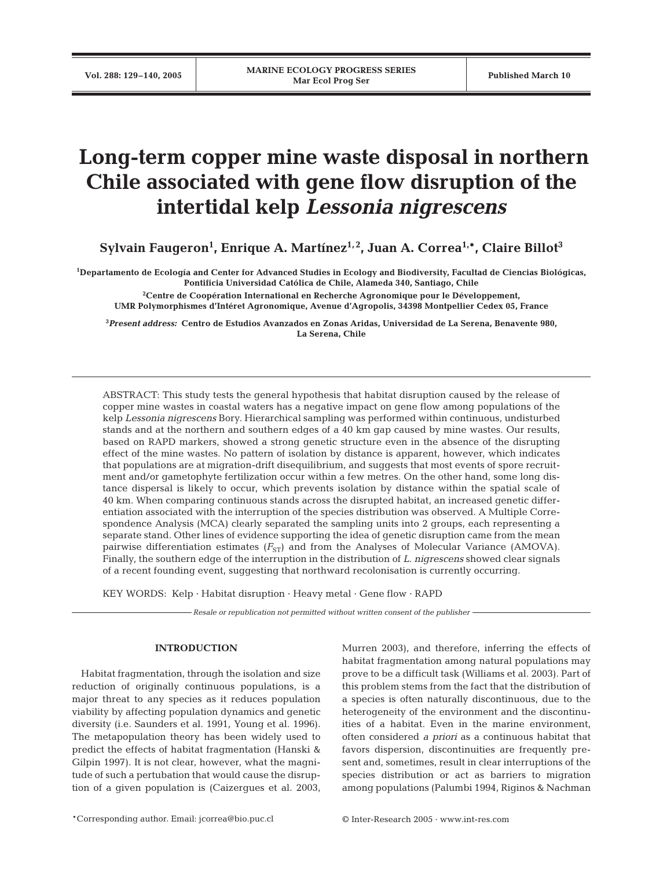# **Long-term copper mine waste disposal in northern Chile associated with gene flow disruption of the intertidal kelp** *Lessonia nigrescens*

**Sylvain Faugeron1 , Enrique A. Martínez1, 2, Juan A. Correa1,\*, Claire Billot3**

**1 Departamento de Ecología and Center for Advanced Studies in Ecology and Biodiversity, Facultad de Ciencias Biológicas, Pontificia Universidad Católica de Chile, Alameda 340, Santiago, Chile**

**2 Centre de Coopération International en Recherche Agronomique pour le Développement, UMR Polymorphismes d'Intéret Agronomique, Avenue d'Agropolis, 34398 Montpellier Cedex 05, France**

**3** *Present address:* **Centro de Estudios Avanzados en Zonas Aridas, Universidad de La Serena, Benavente 980, La Serena, Chile**

ABSTRACT: This study tests the general hypothesis that habitat disruption caused by the release of copper mine wastes in coastal waters has a negative impact on gene flow among populations of the kelp *Lessonia nigrescens* Bory. Hierarchical sampling was performed within continuous, undisturbed stands and at the northern and southern edges of a 40 km gap caused by mine wastes. Our results, based on RAPD markers, showed a strong genetic structure even in the absence of the disrupting effect of the mine wastes. No pattern of isolation by distance is apparent, however, which indicates that populations are at migration-drift disequilibrium, and suggests that most events of spore recruitment and/or gametophyte fertilization occur within a few metres. On the other hand, some long distance dispersal is likely to occur, which prevents isolation by distance within the spatial scale of 40 km. When comparing continuous stands across the disrupted habitat, an increased genetic differentiation associated with the interruption of the species distribution was observed. A Multiple Correspondence Analysis (MCA) clearly separated the sampling units into 2 groups, each representing a separate stand. Other lines of evidence supporting the idea of genetic disruption came from the mean pairwise differentiation estimates  $(F_{ST})$  and from the Analyses of Molecular Variance (AMOVA). Finally, the southern edge of the interruption in the distribution of *L. nigrescens* showed clear signals of a recent founding event, suggesting that northward recolonisation is currently occurring.

KEY WORDS: Kelp · Habitat disruption · Heavy metal · Gene flow · RAPD

*Resale or republication not permitted without written consent of the publisher*

# **INTRODUCTION**

Habitat fragmentation, through the isolation and size reduction of originally continuous populations, is a major threat to any species as it reduces population viability by affecting population dynamics and genetic diversity (i.e. Saunders et al. 1991, Young et al. 1996). The metapopulation theory has been widely used to predict the effects of habitat fragmentation (Hanski & Gilpin 1997). It is not clear, however, what the magnitude of such a pertubation that would cause the disruption of a given population is (Caizergues et al. 2003,

Murren 2003), and therefore, inferring the effects of habitat fragmentation among natural populations may prove to be a difficult task (Williams et al. 2003). Part of this problem stems from the fact that the distribution of a species is often naturally discontinuous, due to the heterogeneity of the environment and the discontinuities of a habitat. Even in the marine environment, often considered *a priori* as a continuous habitat that favors dispersion, discontinuities are frequently present and, sometimes, result in clear interruptions of the species distribution or act as barriers to migration among populations (Palumbi 1994, Riginos & Nachman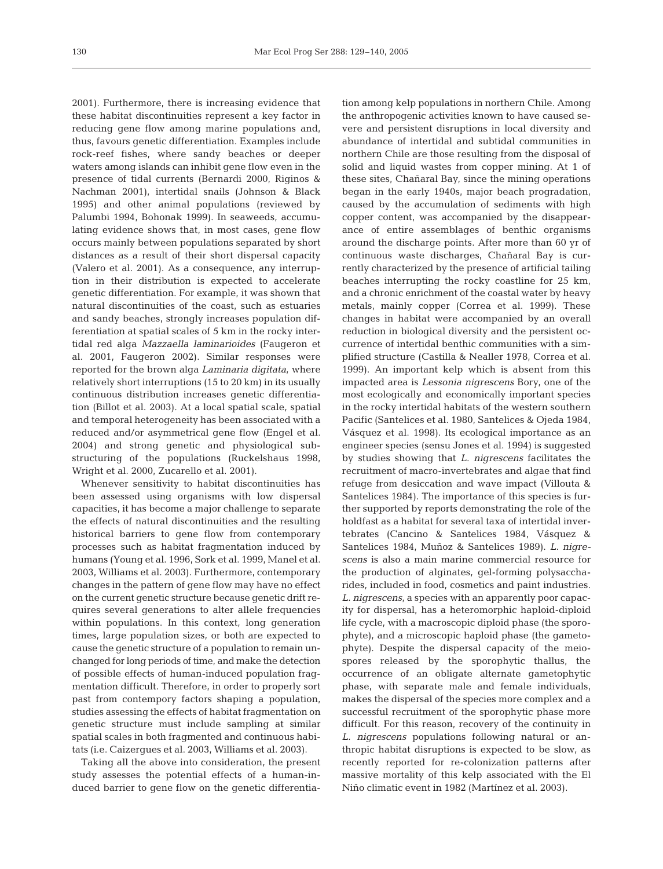2001). Furthermore, there is increasing evidence that these habitat discontinuities represent a key factor in reducing gene flow among marine populations and, thus, favours genetic differentiation. Examples include rock-reef fishes, where sandy beaches or deeper waters among islands can inhibit gene flow even in the presence of tidal currents (Bernardi 2000, Riginos & Nachman 2001), intertidal snails (Johnson & Black 1995) and other animal populations (reviewed by Palumbi 1994, Bohonak 1999). In seaweeds, accumulating evidence shows that, in most cases, gene flow occurs mainly between populations separated by short distances as a result of their short dispersal capacity (Valero et al. 2001). As a consequence, any interruption in their distribution is expected to accelerate genetic differentiation. For example, it was shown that natural discontinuities of the coast, such as estuaries and sandy beaches, strongly increases population differentiation at spatial scales of 5 km in the rocky intertidal red alga *Mazzaella laminarioides* (Faugeron et al. 2001, Faugeron 2002). Similar responses were reported for the brown alga *Laminaria digitata*, where relatively short interruptions (15 to 20 km) in its usually continuous distribution increases genetic differentiation (Billot et al. 2003). At a local spatial scale, spatial and temporal heterogeneity has been associated with a reduced and/or asymmetrical gene flow (Engel et al. 2004) and strong genetic and physiological substructuring of the populations (Ruckelshaus 1998, Wright et al. 2000, Zucarello et al. 2001).

Whenever sensitivity to habitat discontinuities has been assessed using organisms with low dispersal capacities, it has become a major challenge to separate the effects of natural discontinuities and the resulting historical barriers to gene flow from contemporary processes such as habitat fragmentation induced by humans (Young et al. 1996, Sork et al. 1999, Manel et al. 2003, Williams et al. 2003). Furthermore, contemporary changes in the pattern of gene flow may have no effect on the current genetic structure because genetic drift requires several generations to alter allele frequencies within populations. In this context, long generation times, large population sizes, or both are expected to cause the genetic structure of a population to remain unchanged for long periods of time, and make the detection of possible effects of human-induced population fragmentation difficult. Therefore, in order to properly sort past from contempory factors shaping a population, studies assessing the effects of habitat fragmentation on genetic structure must include sampling at similar spatial scales in both fragmented and continuous habitats (i.e. Caizergues et al. 2003, Williams et al. 2003).

Taking all the above into consideration, the present study assesses the potential effects of a human-induced barrier to gene flow on the genetic differentiation among kelp populations in northern Chile. Among the anthropogenic activities known to have caused severe and persistent disruptions in local diversity and abundance of intertidal and subtidal communities in northern Chile are those resulting from the disposal of solid and liquid wastes from copper mining. At 1 of these sites, Chañaral Bay, since the mining operations began in the early 1940s, major beach progradation, caused by the accumulation of sediments with high copper content, was accompanied by the disappearance of entire assemblages of benthic organisms around the discharge points. After more than 60 yr of continuous waste discharges, Chañaral Bay is currently characterized by the presence of artificial tailing beaches interrupting the rocky coastline for 25 km, and a chronic enrichment of the coastal water by heavy metals, mainly copper (Correa et al. 1999). These changes in habitat were accompanied by an overall reduction in biological diversity and the persistent occurrence of intertidal benthic communities with a simplified structure (Castilla & Nealler 1978, Correa et al. 1999). An important kelp which is absent from this impacted area is *Lessonia nigrescens* Bory, one of the most ecologically and economically important species in the rocky intertidal habitats of the western southern Pacific (Santelices et al. 1980, Santelices & Ojeda 1984, Vásquez et al. 1998). Its ecological importance as an engineer species (sensu Jones et al. 1994) is suggested by studies showing that *L. nigrescens* facilitates the recruitment of macro-invertebrates and algae that find refuge from desiccation and wave impact (Villouta & Santelices 1984). The importance of this species is further supported by reports demonstrating the role of the holdfast as a habitat for several taxa of intertidal invertebrates (Cancino & Santelices 1984, Vásquez & Santelices 1984, Muñoz & Santelices 1989). *L. nigrescens* is also a main marine commercial resource for the production of alginates, gel-forming polysaccharides, included in food, cosmetics and paint industries. *L. nigrescens*, a species with an apparently poor capacity for dispersal, has a heteromorphic haploid-diploid life cycle, with a macroscopic diploid phase (the sporophyte), and a microscopic haploid phase (the gametophyte). Despite the dispersal capacity of the meiospores released by the sporophytic thallus, the occurrence of an obligate alternate gametophytic phase, with separate male and female individuals, makes the dispersal of the species more complex and a successful recruitment of the sporophytic phase more difficult. For this reason, recovery of the continuity in *L. nigrescens* populations following natural or anthropic habitat disruptions is expected to be slow, as recently reported for re-colonization patterns after massive mortality of this kelp associated with the El Niño climatic event in 1982 (Martínez et al. 2003).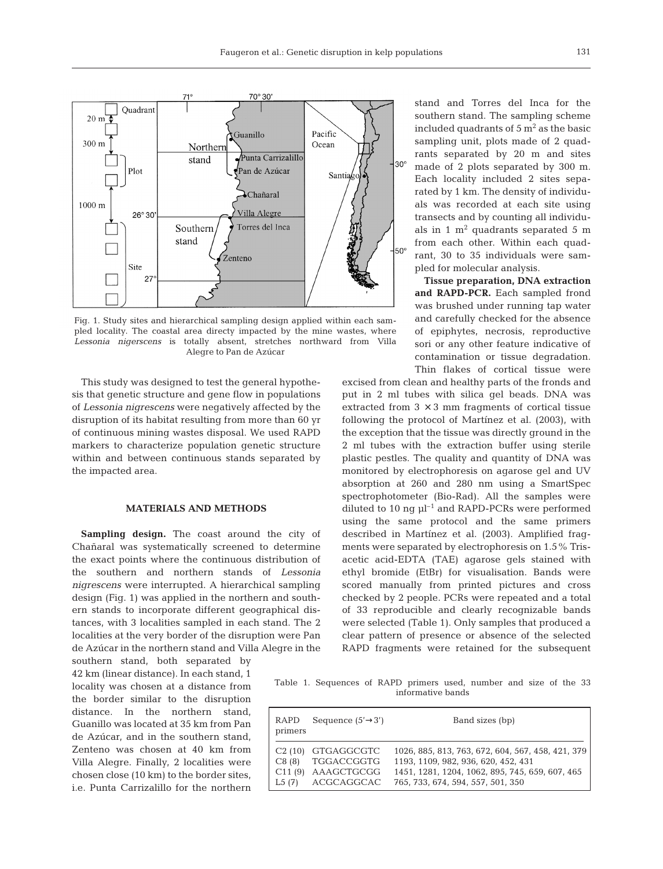

Fig. 1. Study sites and hierarchical sampling design applied within each sampled locality. The coastal area directy impacted by the mine wastes, where *Lessonia nigerscens* is totally absent, stretches northward from Villa Alegre to Pan de Azúcar

This study was designed to test the general hypothesis that genetic structure and gene flow in populations of *Lessonia nigrescens* were negatively affected by the disruption of its habitat resulting from more than 60 yr of continuous mining wastes disposal. We used RAPD markers to characterize population genetic structure within and between continuous stands separated by the impacted area.

### **MATERIALS AND METHODS**

**Sampling design.** The coast around the city of Chañaral was systematically screened to determine the exact points where the continuous distribution of the southern and northern stands of *Lessonia nigrescens* were interrupted. A hierarchical sampling design (Fig. 1) was applied in the northern and southern stands to incorporate different geographical distances, with 3 localities sampled in each stand. The 2 localities at the very border of the disruption were Pan de Azúcar in the northern stand and Villa Alegre in the

southern stand, both separated by 42 km (linear distance). In each stand, 1 locality was chosen at a distance from the border similar to the disruption distance. In the northern stand, Guanillo was located at 35 km from Pan de Azúcar, and in the southern stand, Zenteno was chosen at 40 km from Villa Alegre. Finally, 2 localities were chosen close (10 km) to the border sites, i.e. Punta Carrizalillo for the northern

stand and Torres del Inca for the southern stand. The sampling scheme included quadrants of  $5 \text{ m}^2$  as the basic sampling unit, plots made of 2 quadrants separated by 20 m and sites made of 2 plots separated by 300 m. Each locality included 2 sites separated by 1 km. The density of individuals was recorded at each site using transects and by counting all individuals in 1  $m<sup>2</sup>$  quadrants separated 5 m from each other. Within each quadrant, 30 to 35 individuals were sampled for molecular analysis.

**Tissue preparation, DNA extraction and RAPD-PCR.** Each sampled frond was brushed under running tap water and carefully checked for the absence of epiphytes, necrosis, reproductive sori or any other feature indicative of contamination or tissue degradation. Thin flakes of cortical tissue were

excised from clean and healthy parts of the fronds and put in 2 ml tubes with silica gel beads. DNA was extracted from  $3 \times 3$  mm fragments of cortical tissue following the protocol of Martínez et al. (2003), with the exception that the tissue was directly ground in the 2 ml tubes with the extraction buffer using sterile plastic pestles. The quality and quantity of DNA was monitored by electrophoresis on agarose gel and UV absorption at 260 and 280 nm using a SmartSpec spectrophotometer (Bio-Rad). All the samples were diluted to 10 ng  $\mu$ <sup>-1</sup> and RAPD-PCRs were performed using the same protocol and the same primers described in Martínez et al. (2003). Amplified fragments were separated by electrophoresis on 1.5% Trisacetic acid-EDTA (TAE) agarose gels stained with ethyl bromide (EtBr) for visualisation. Bands were scored manually from printed pictures and cross checked by 2 people. PCRs were repeated and a total of 33 reproducible and clearly recognizable bands were selected (Table 1). Only samples that produced a clear pattern of presence or absence of the selected RAPD fragments were retained for the subsequent

Table 1. Sequences of RAPD primers used, number and size of the 33 informative bands

| RAPD<br>primers | Sequence $(5' \rightarrow 3')$ | Band sizes (bp)                                   |
|-----------------|--------------------------------|---------------------------------------------------|
| C2(10)          | <b>GTGAGGCGTC</b>              | 1026, 885, 813, 763, 672, 604, 567, 458, 421, 379 |
| C8(8)           | <b>TGGACCGGTG</b>              | 1193, 1109, 982, 936, 620, 452, 431               |
| C11(9)          | AAAGCTGCGG                     | 1451, 1281, 1204, 1062, 895, 745, 659, 607, 465   |
| L5(7)           | ACGCAGGCAC                     | 765, 733, 674, 594, 557, 501, 350                 |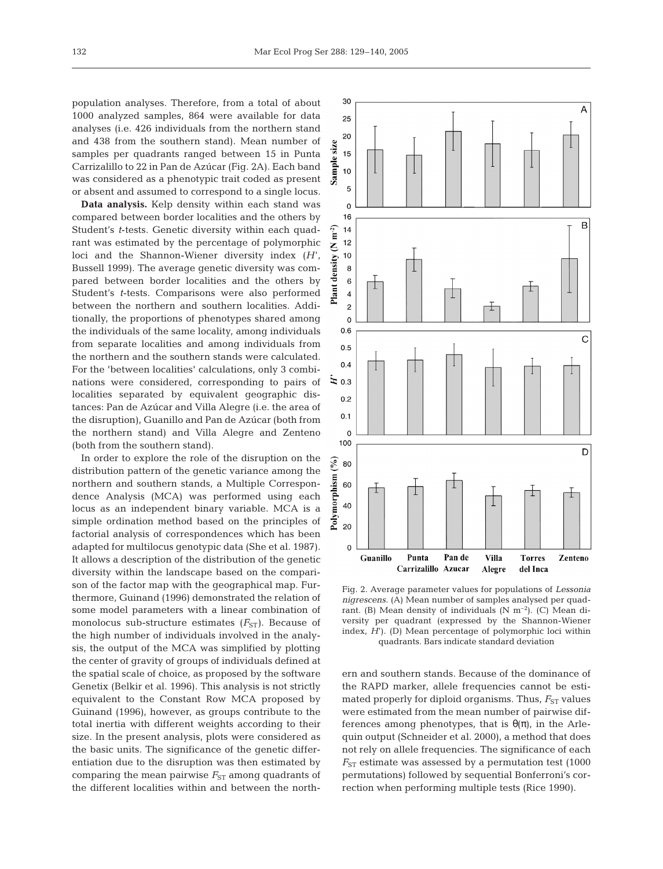population analyses. Therefore, from a total of about 1000 analyzed samples, 864 were available for data analyses (i.e. 426 individuals from the northern stand and 438 from the southern stand). Mean number of samples per quadrants ranged between 15 in Punta Carrizalillo to 22 in Pan de Azúcar (Fig. 2A). Each band was considered as a phenotypic trait coded as present or absent and assumed to correspond to a single locus.

**Data analysis.** Kelp density within each stand was compared between border localities and the others by Student's *t*-tests. Genetic diversity within each quadrant was estimated by the percentage of polymorphic loci and the Shannon-Wiener diversity index (*H*', Bussell 1999). The average genetic diversity was compared between border localities and the others by Student's *t*-tests. Comparisons were also performed between the northern and southern localities. Additionally, the proportions of phenotypes shared among the individuals of the same locality, among individuals from separate localities and among individuals from the northern and the southern stands were calculated. For the 'between localities' calculations, only 3 combinations were considered, corresponding to pairs of localities separated by equivalent geographic distances: Pan de Azúcar and Villa Alegre (i.e. the area of the disruption), Guanillo and Pan de Azúcar (both from the northern stand) and Villa Alegre and Zenteno (both from the southern stand).

In order to explore the role of the disruption on the distribution pattern of the genetic variance among the northern and southern stands, a Multiple Correspondence Analysis (MCA) was performed using each locus as an independent binary variable. MCA is a simple ordination method based on the principles of factorial analysis of correspondences which has been adapted for multilocus genotypic data (She et al. 1987). It allows a description of the distribution of the genetic diversity within the landscape based on the comparison of the factor map with the geographical map. Furthermore, Guinand (1996) demonstrated the relation of some model parameters with a linear combination of monolocus sub-structure estimates  $(F_{ST})$ . Because of the high number of individuals involved in the analysis, the output of the MCA was simplified by plotting the center of gravity of groups of individuals defined at the spatial scale of choice, as proposed by the software Genetix (Belkir et al. 1996). This analysis is not strictly equivalent to the Constant Row MCA proposed by Guinand (1996), however, as groups contribute to the total inertia with different weights according to their size. In the present analysis, plots were considered as the basic units. The significance of the genetic differentiation due to the disruption was then estimated by comparing the mean pairwise  $F_{ST}$  among quadrants of the different localities within and between the north-



Fig. 2. Average parameter values for populations of *Lessonia nigrescens*. (A) Mean number of samples analysed per quadrant. (B) Mean density of individuals  $(N \ m^{-2})$ . (C) Mean diversity per quadrant (expressed by the Shannon-Wiener index, *H*'). (D) Mean percentage of polymorphic loci within quadrants. Bars indicate standard deviation

ern and southern stands. Because of the dominance of the RAPD marker, allele frequencies cannot be estimated properly for diploid organisms. Thus,  $F_{ST}$  values were estimated from the mean number of pairwise differences among phenotypes, that is  $\theta(\pi)$ , in the Arlequin output (Schneider et al. 2000), a method that does not rely on allele frequencies. The significance of each  $F_{ST}$  estimate was assessed by a permutation test (1000) permutations) followed by sequential Bonferroni's correction when performing multiple tests (Rice 1990).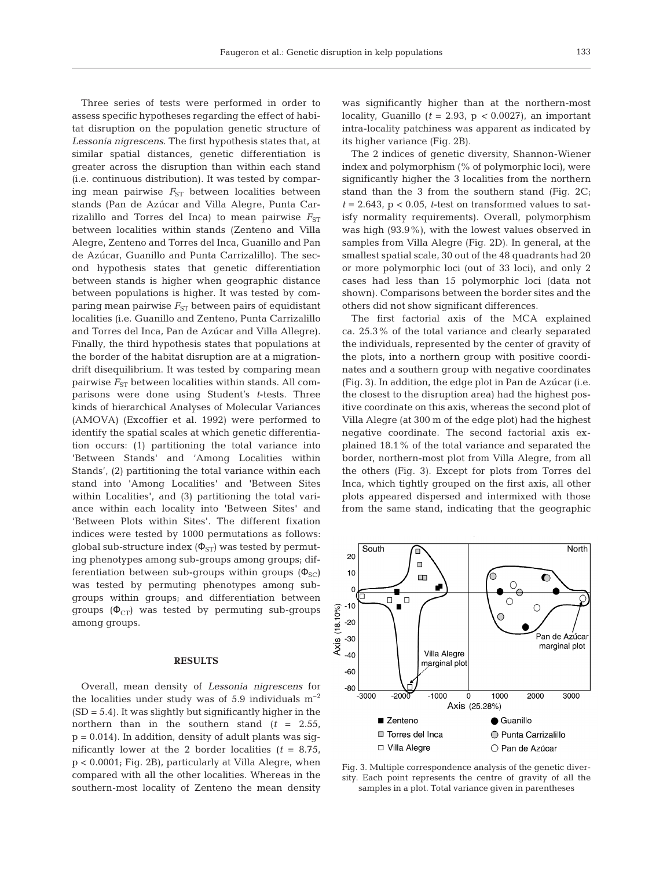Three series of tests were performed in order to assess specific hypotheses regarding the effect of habitat disruption on the population genetic structure of *Lessonia nigrescens*. The first hypothesis states that, at similar spatial distances, genetic differentiation is greater across the disruption than within each stand (i.e. continuous distribution). It was tested by comparing mean pairwise  $F_{ST}$  between localities between stands (Pan de Azúcar and Villa Alegre, Punta Carrizalillo and Torres del Inca) to mean pairwise  $F_{ST}$ between localities within stands (Zenteno and Villa Alegre, Zenteno and Torres del Inca, Guanillo and Pan de Azúcar, Guanillo and Punta Carrizalillo). The second hypothesis states that genetic differentiation between stands is higher when geographic distance between populations is higher. It was tested by comparing mean pairwise  $F_{ST}$  between pairs of equidistant localities (i.e. Guanillo and Zenteno, Punta Carrizalillo and Torres del Inca, Pan de Azúcar and Villa Allegre). Finally, the third hypothesis states that populations at the border of the habitat disruption are at a migrationdrift disequilibrium. It was tested by comparing mean pairwise  $F_{ST}$  between localities within stands. All comparisons were done using Student's *t*-tests. Three kinds of hierarchical Analyses of Molecular Variances (AMOVA) (Excoffier et al. 1992) were performed to identify the spatial scales at which genetic differentiation occurs: (1) partitioning the total variance into 'Between Stands' and 'Among Localities within Stands', (2) partitioning the total variance within each stand into 'Among Localities' and 'Between Sites within Localities', and (3) partitioning the total variance within each locality into 'Between Sites' and 'Between Plots within Sites'. The different fixation indices were tested by 1000 permutations as follows: global sub-structure index  $(\Phi_{ST})$  was tested by permuting phenotypes among sub-groups among groups; differentiation between sub-groups within groups  $(\Phi_{SC})$ was tested by permuting phenotypes among subgroups within groups; and differentiation between groups  $(\Phi_{CT})$  was tested by permuting sub-groups among groups.

#### **RESULTS**

Overall, mean density of *Lessonia nigrescens* for the localities under study was of 5.9 individuals  $m^{-2}$  $(SD = 5.4)$ . It was slightly but significantly higher in the northern than in the southern stand  $(t = 2.55,$  $p = 0.014$ ). In addition, density of adult plants was significantly lower at the 2 border localities  $(t = 8.75,$ p < 0.0001; Fig. 2B), particularly at Villa Alegre, when compared with all the other localities. Whereas in the southern-most locality of Zenteno the mean density was significantly higher than at the northern-most locality, Guanillo  $(t = 2.93, p < 0.0027)$ , an important intra-locality patchiness was apparent as indicated by its higher variance (Fig. 2B).

The 2 indices of genetic diversity, Shannon-Wiener index and polymorphism (% of polymorphic loci), were significantly higher the 3 localities from the northern stand than the 3 from the southern stand (Fig.  $2C_i$ )  $t = 2.643$ ,  $p < 0.05$ , *t*-test on transformed values to satisfy normality requirements). Overall, polymorphism was high (93.9%), with the lowest values observed in samples from Villa Alegre (Fig. 2D). In general, at the smallest spatial scale, 30 out of the 48 quadrants had 20 or more polymorphic loci (out of 33 loci), and only 2 cases had less than 15 polymorphic loci (data not shown). Comparisons between the border sites and the others did not show significant differences.

The first factorial axis of the MCA explained ca. 25.3% of the total variance and clearly separated the individuals, represented by the center of gravity of the plots, into a northern group with positive coordinates and a southern group with negative coordinates (Fig. 3). In addition, the edge plot in Pan de Azúcar (i.e. the closest to the disruption area) had the highest positive coordinate on this axis, whereas the second plot of Villa Alegre (at 300 m of the edge plot) had the highest negative coordinate. The second factorial axis explained 18.1% of the total variance and separated the border, northern-most plot from Villa Alegre, from all the others (Fig. 3). Except for plots from Torres del Inca, which tightly grouped on the first axis, all other plots appeared dispersed and intermixed with those from the same stand, indicating that the geographic



Fig. 3. Multiple correspondence analysis of the genetic diversity. Each point represents the centre of gravity of all the samples in a plot. Total variance given in parentheses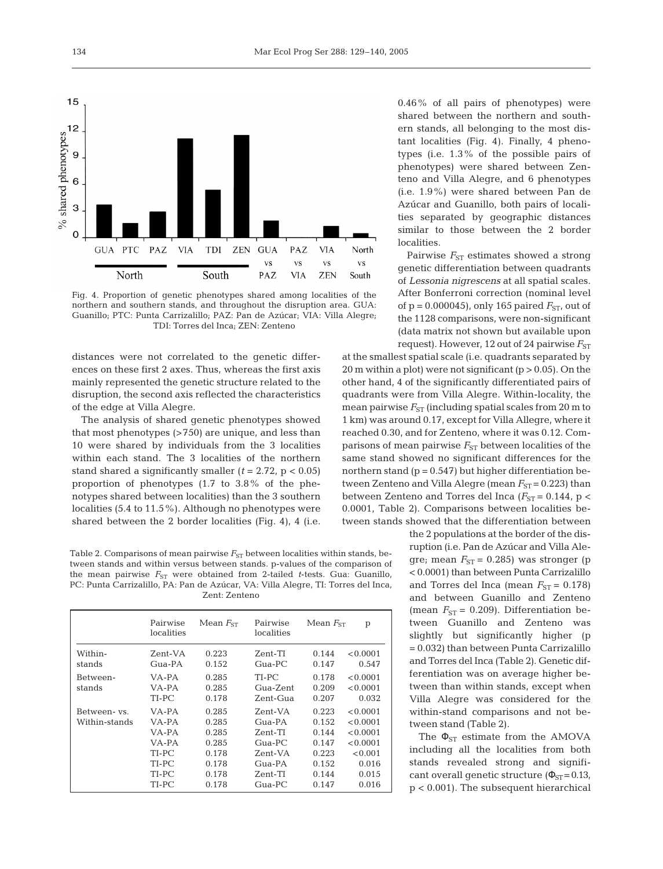

Fig. 4. Proportion of genetic phenotypes shared among localities of the northern and southern stands, and throughout the disruption area. GUA: Guanillo; PTC: Punta Carrizalillo; PAZ: Pan de Azúcar; VIA: Villa Alegre; TDI: Torres del Inca; ZEN: Zenteno

distances were not correlated to the genetic differences on these first 2 axes. Thus, whereas the first axis mainly represented the genetic structure related to the disruption, the second axis reflected the characteristics of the edge at Villa Alegre.

The analysis of shared genetic phenotypes showed that most phenotypes (>750) are unique, and less than 10 were shared by individuals from the 3 localities within each stand. The 3 localities of the northern stand shared a significantly smaller  $(t = 2.72, p < 0.05)$ proportion of phenotypes (1.7 to 3.8% of the phenotypes shared between localities) than the 3 southern localities (5.4 to 11.5%). Although no phenotypes were shared between the 2 border localities (Fig. 4), 4 (i.e.

Table 2. Comparisons of mean pairwise  $F_{ST}$  between localities within stands, between stands and within versus between stands. p-values of the comparison of the mean pairwise  $F_{ST}$  were obtained from 2-tailed *t*-tests. Gua: Guanillo, PC: Punta Carrizalillo, PA: Pan de Azúcar, VA: Villa Alegre, TI: Torres del Inca, Zent: Zenteno

|                               | Pairwise<br>localities                                               | Mean $F_{ST}$                                                        | Pairwise<br>localities                                                                 | Mean $F_{ST}$                                                        | p                                                                                  |
|-------------------------------|----------------------------------------------------------------------|----------------------------------------------------------------------|----------------------------------------------------------------------------------------|----------------------------------------------------------------------|------------------------------------------------------------------------------------|
| Within-<br>stands             | Zent-VA<br>Gua-PA                                                    | 0.223<br>0.152                                                       | Zent-TI<br>Gua-PC                                                                      | 0.144<br>0.147                                                       | < 0.0001<br>0.547                                                                  |
| Between-<br>stands            | VA-PA<br>VA-PA<br>TI-PC                                              | 0.285<br>0.285<br>0.178                                              | TI-PC<br>Gua-Zent<br>Zent-Gua                                                          | 0.178<br>0.209<br>0.207                                              | < 0.0001<br>< 0.0001<br>0.032                                                      |
| Between- vs.<br>Within-stands | VA-PA<br>VA-PA<br>VA-PA<br>VA-PA<br>TI-PC<br>TI-PC<br>TI-PC<br>TI-PC | 0.285<br>0.285<br>0.285<br>0.285<br>0.178<br>0.178<br>0.178<br>0.178 | Zent-VA<br>$Gua-PA$<br>Zent-TI<br>$Gua-PC$<br>Zent-VA<br>Gua-PA<br>Zent-TI<br>$Gua-PC$ | 0.223<br>0.152<br>0.144<br>0.147<br>0.223<br>0.152<br>0.144<br>0.147 | < 0.0001<br>< 0.0001<br>< 0.0001<br>< 0.0001<br>< 0.001<br>0.016<br>0.015<br>0.016 |

0.46% of all pairs of phenotypes) were shared between the northern and southern stands, all belonging to the most distant localities (Fig. 4). Finally, 4 phenotypes (i.e. 1.3% of the possible pairs of phenotypes) were shared between Zenteno and Villa Alegre, and 6 phenotypes (i.e. 1.9%) were shared between Pan de Azúcar and Guanillo, both pairs of localities separated by geographic distances similar to those between the 2 border localities.

Pairwise  $F_{ST}$  estimates showed a strong genetic differentiation between quadrants of *Lessonia nigrescens* at all spatial scales. After Bonferroni correction (nominal level of  $p = 0.000045$ , only 165 paired  $F_{ST}$ , out of the 1128 comparisons, were non-significant (data matrix not shown but available upon request). However, 12 out of 24 pairwise  $F_{ST}$ 

at the smallest spatial scale (i.e. quadrants separated by 20 m within a plot) were not significant  $(p > 0.05)$ . On the other hand, 4 of the significantly differentiated pairs of quadrants were from Villa Alegre. Within-locality, the mean pairwise  $F_{ST}$  (including spatial scales from 20 m to 1 km) was around 0.17, except for Villa Allegre, where it reached 0.30, and for Zenteno, where it was 0.12. Comparisons of mean pairwise  $F_{ST}$  between localities of the same stand showed no significant differences for the northern stand  $(p = 0.547)$  but higher differentiation between Zenteno and Villa Alegre (mean  $F_{ST}$  = 0.223) than between Zenteno and Torres del Inca ( $F_{ST}$  = 0.144, p < 0.0001, Table 2). Comparisons between localities between stands showed that the differentiation between

the 2 populations at the border of the disruption (i.e. Pan de Azúcar and Villa Alegre; mean  $F_{ST}$  = 0.285) was stronger (p < 0.0001) than between Punta Carrizalillo and Torres del Inca (mean  $F_{ST} = 0.178$ ) and between Guanillo and Zenteno (mean  $F_{ST}$  = 0.209). Differentiation between Guanillo and Zenteno was slightly but significantly higher (p = 0.032) than between Punta Carrizalillo and Torres del Inca (Table 2). Genetic differentiation was on average higher between than within stands, except when Villa Alegre was considered for the within-stand comparisons and not between stand (Table 2).

The  $\Phi_{ST}$  estimate from the AMOVA including all the localities from both stands revealed strong and significant overall genetic structure ( $\Phi_{ST}$ =0.13, p < 0.001). The subsequent hierarchical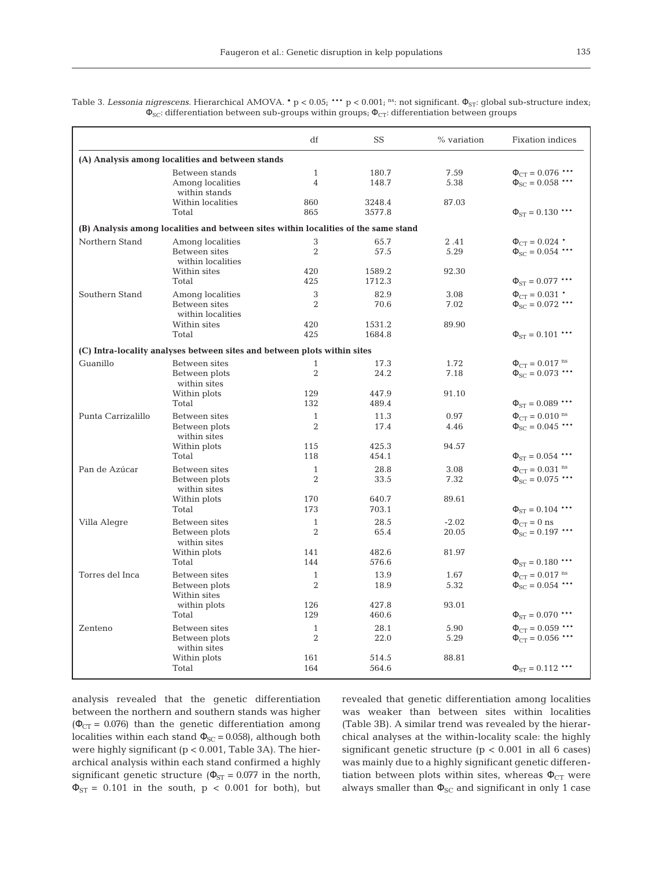| Table 3. Lessonia nigrescens. Hierarchical AMOVA. * $p < 0.05$ ; *** $p < 0.001$ ; not significant. $\Phi_{ST}$ : global sub-structure index; |  |  |  |  |  |  |
|-----------------------------------------------------------------------------------------------------------------------------------------------|--|--|--|--|--|--|
| $\Phi_{\text{SC}}$ : differentiation between sub-groups within groups; $\Phi_{\text{CT}}$ : differentiation between groups                    |  |  |  |  |  |  |

|                                                  |                                                                                     | df                             | <b>SS</b>        | % variation      | <b>Fixation indices</b>                                      |  |  |
|--------------------------------------------------|-------------------------------------------------------------------------------------|--------------------------------|------------------|------------------|--------------------------------------------------------------|--|--|
| (A) Analysis among localities and between stands |                                                                                     |                                |                  |                  |                                                              |  |  |
|                                                  | Between stands<br>Among localities<br>within stands                                 | $\mathbf{1}$<br>$\overline{4}$ | 180.7<br>148.7   | 7.59<br>5.38     | $\Phi_{CT} = 0.076$ ***<br>$\Phi_{SC} = 0.058$ ***           |  |  |
|                                                  | Within localities<br>Total                                                          | 860<br>865                     | 3248.4<br>3577.8 | 87.03            | $\Phi_{ST} = 0.130$ ***                                      |  |  |
|                                                  | (B) Analysis among localities and between sites within localities of the same stand |                                |                  |                  |                                                              |  |  |
| Northern Stand                                   | Among localities<br>Between sites<br>within localities                              | 3<br>2                         | 65.7<br>57.5     | 2.41<br>5.29     | $\Phi_{CT} = 0.024$ *<br>$\Phi_{SC} = 0.054$ ***             |  |  |
|                                                  | Within sites<br>Total                                                               | 420<br>425                     | 1589.2<br>1712.3 | 92.30            | $\Phi_{ST} = 0.077$ ***                                      |  |  |
| Southern Stand                                   | Among localities<br><b>Between</b> sites<br>within localities                       | 3<br>$\overline{2}$            | 82.9<br>70.6     | 3.08<br>7.02     | $\Phi_{CT} = 0.031$ *<br>$\Phi_{SC} = 0.072$ ***             |  |  |
|                                                  | Within sites<br>Total                                                               | 420<br>425                     | 1531.2<br>1684.8 | 89.90            | $\Phi_{ST} = 0.101$ ***                                      |  |  |
|                                                  | (C) Intra-locality analyses between sites and between plots within sites            |                                |                  |                  |                                                              |  |  |
| Guanillo                                         | Between sites<br>Between plots<br>within sites                                      | $\mathbf{1}$<br>$\overline{2}$ | 17.3<br>24.2     | 1.72<br>7.18     | $\Phi_{CT} = 0.017$ <sup>ns</sup><br>$\Phi_{SC} = 0.073$ *** |  |  |
|                                                  | Within plots<br>Total                                                               | 129<br>132                     | 447.9<br>489.4   | 91.10            | $\Phi_{ST} = 0.089$ ***                                      |  |  |
| Punta Carrizalillo                               | Between sites<br>Between plots<br>within sites                                      | $\mathbf{1}$<br>$\overline{2}$ | 11.3<br>17.4     | 0.97<br>4.46     | $\Phi_{CT} = 0.010$ <sup>ns</sup><br>$\Phi_{SC} = 0.045$ *** |  |  |
|                                                  | Within plots<br>Total                                                               | 115<br>118                     | 425.3<br>454.1   | 94.57            | $\Phi_{ST} = 0.054$ ***                                      |  |  |
| Pan de Azúcar                                    | Between sites<br>Between plots<br>within sites                                      | $\mathbf{1}$<br>$\overline{2}$ | 28.8<br>33.5     | 3.08<br>7.32     | $\Phi_{CT} = 0.031$ <sup>ns</sup><br>$\Phi_{SC} = 0.075$ *** |  |  |
|                                                  | Within plots<br>Total                                                               | 170<br>173                     | 640.7<br>703.1   | 89.61            | $\Phi_{ST} = 0.104$ ***                                      |  |  |
| Villa Alegre                                     | Between sites<br>Between plots<br>within sites                                      | $\mathbf{1}$<br>$\overline{2}$ | 28.5<br>65.4     | $-2.02$<br>20.05 | $\Phi_{CT} = 0$ ns<br>$\Phi_{SC} = 0.197$ ***                |  |  |
|                                                  | Within plots<br>Total                                                               | 141<br>144                     | 482.6<br>576.6   | 81.97            | $\Phi_{ST} = 0.180$ ***                                      |  |  |
| Torres del Inca                                  | Between sites<br>Between plots<br>Within sites                                      | $\mathbf{1}$<br>$\overline{2}$ | 13.9<br>18.9     | 1.67<br>5.32     | $\Phi_{CT} = 0.017$ <sup>ns</sup><br>$\Phi_{SC} = 0.054$ *** |  |  |
|                                                  | within plots<br>Total                                                               | 126<br>129                     | 427.8<br>460.6   | 93.01            | $\Phi_{ST} = 0.070$ ***                                      |  |  |
| Zenteno                                          | Between sites<br>Between plots<br>within sites                                      | $\mathbf{1}$<br>$\overline{2}$ | 28.1<br>22.0     | 5.90<br>5.29     | $\Phi_{CT} = 0.059$ ***<br>$\Phi_{CT} = 0.056$ ***           |  |  |
|                                                  | Within plots<br>Total                                                               | 161<br>164                     | 514.5<br>564.6   | 88.81            | $\Phi_{ST} = 0.112$ ***                                      |  |  |

analysis revealed that the genetic differentiation between the northern and southern stands was higher ( $\Phi_{CT}$  = 0.076) than the genetic differentiation among localities within each stand  $\Phi_{SC} = 0.058$ ), although both were highly significant (p < 0.001, Table 3A). The hierarchical analysis within each stand confirmed a highly significant genetic structure ( $\Phi_{ST} = 0.077$  in the north,  $\Phi_{ST}$  = 0.101 in the south, p < 0.001 for both), but revealed that genetic differentiation among localities was weaker than between sites within localities (Table 3B). A similar trend was revealed by the hierarchical analyses at the within-locality scale: the highly significant genetic structure (p < 0.001 in all 6 cases) was mainly due to a highly significant genetic differentiation between plots within sites, whereas  $\Phi_{CT}$  were always smaller than  $\Phi_{SC}$  and significant in only 1 case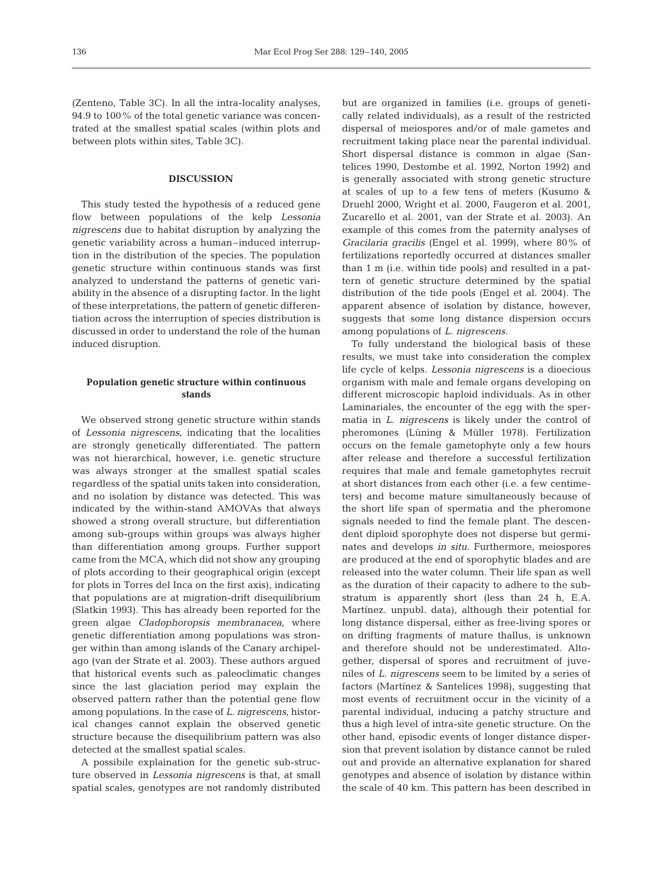(Zenteno, Table 3C). In all the intra-locality analyses, 94.9 to 100% of the total genetic variance was concentrated at the smallest spatial scales (within plots and between plots within sites, Table 3C).

## **DISCUSSION**

This study tested the hypothesis of a reduced gene flow between populations of the kelp *Lessonia nigrescens* due to habitat disruption by analyzing the genetic variability across a human–induced interruption in the distribution of the species. The population genetic structure within continuous stands was first analyzed to understand the patterns of genetic variability in the absence of a disrupting factor. In the light of these interpretations, the pattern of genetic differentiation across the interruption of species distribution is discussed in order to understand the role of the human induced disruption.

# **Population genetic structure within continuous stands**

We observed strong genetic structure within stands of *Lessonia nigrescens*, indicating that the localities are strongly genetically differentiated. The pattern was not hierarchical, however, i.e. genetic structure was always stronger at the smallest spatial scales regardless of the spatial units taken into consideration, and no isolation by distance was detected. This was indicated by the within-stand AMOVAs that always showed a strong overall structure, but differentiation among sub-groups within groups was always higher than differentiation among groups. Further support came from the MCA, which did not show any grouping of plots according to their geographical origin (except for plots in Torres del Inca on the first axis), indicating that populations are at migration-drift disequilibrium (Slatkin 1993). This has already been reported for the green algae *Cladophoropsis membranacea*, where genetic differentiation among populations was stronger within than among islands of the Canary archipelago (van der Strate et al. 2003). These authors argued that historical events such as paleoclimatic changes since the last glaciation period may explain the observed pattern rather than the potential gene flow among populations. In the case of *L. nigrescens*, historical changes cannot explain the observed genetic structure because the disequilibrium pattern was also detected at the smallest spatial scales.

A possibile explaination for the genetic sub-structure observed in *Lessonia nigrescens* is that, at small spatial scales, genotypes are not randomly distributed

but are organized in families (i.e. groups of genetically related individuals), as a result of the restricted dispersal of meiospores and/or of male gametes and recruitment taking place near the parental individual. Short dispersal distance is common in algae (Santelices 1990, Destombe et al. 1992, Norton 1992) and is generally associated with strong genetic structure at scales of up to a few tens of meters (Kusumo & Druehl 2000, Wright et al. 2000, Faugeron et al. 2001, Zucarello et al. 2001, van der Strate et al. 2003). An example of this comes from the paternity analyses of *Gracilaria gracilis* (Engel et al. 1999), where 80% of fertilizations reportedly occurred at distances smaller than 1 m (i.e. within tide pools) and resulted in a pattern of genetic structure determined by the spatial distribution of the tide pools (Engel et al. 2004). The apparent absence of isolation by distance, however, suggests that some long distance dispersion occurs among populations of *L. nigrescens*.

To fully understand the biological basis of these results, we must take into consideration the complex life cycle of kelps. *Lessonia nigrescens* is a dioecious organism with male and female organs developing on different microscopic haploid individuals. As in other Laminariales, the encounter of the egg with the spermatia in *L. nigrescens* is likely under the control of pheromones (Lüning & Müller 1978). Fertilization occurs on the female gametophyte only a few hours after release and therefore a successful fertilization requires that male and female gametophytes recruit at short distances from each other (i.e. a few centimeters) and become mature simultaneously because of the short life span of spermatia and the pheromone signals needed to find the female plant. The descendent diploid sporophyte does not disperse but germinates and develops *in situ*. Furthermore, meiospores are produced at the end of sporophytic blades and are released into the water column. Their life span as well as the duration of their capacity to adhere to the substratum is apparently short (less than 24 h, E.A. Martínez. unpubl. data), although their potential for long distance dispersal, either as free-living spores or on drifting fragments of mature thallus, is unknown and therefore should not be underestimated. Altogether, dispersal of spores and recruitment of juveniles of *L. nigrescens* seem to be limited by a series of factors (Martínez & Santelices 1998), suggesting that most events of recruitment occur in the vicinity of a parental individual, inducing a patchy structure and thus a high level of intra-site genetic structure. On the other hand, episodic events of longer distance dispersion that prevent isolation by distance cannot be ruled out and provide an alternative explanation for shared genotypes and absence of isolation by distance within the scale of 40 km. This pattern has been described in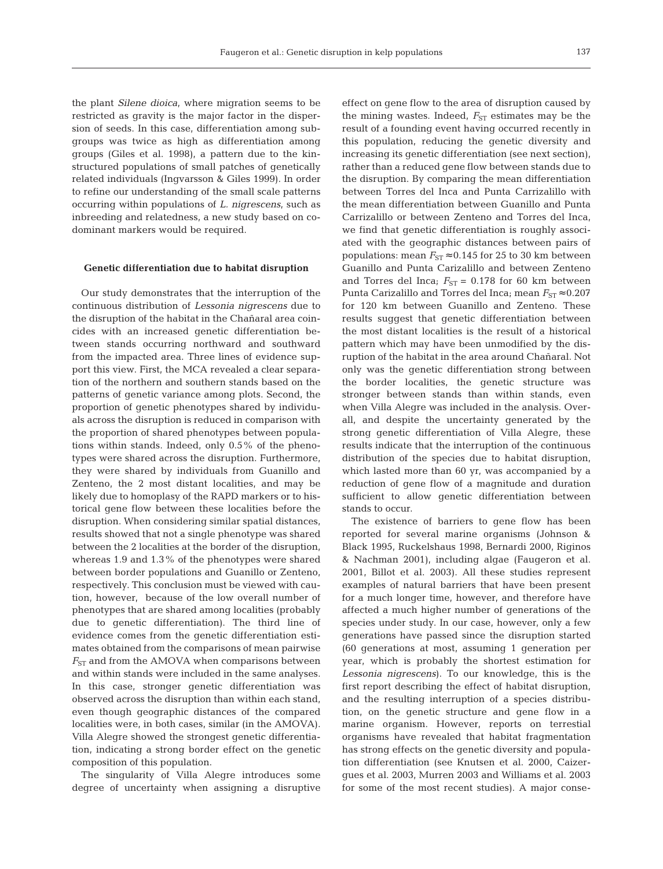the plant *Silene dioica*, where migration seems to be restricted as gravity is the major factor in the dispersion of seeds. In this case, differentiation among subgroups was twice as high as differentiation among groups (Giles et al. 1998), a pattern due to the kinstructured populations of small patches of genetically related individuals (Ingvarsson & Giles 1999). In order to refine our understanding of the small scale patterns occurring within populations of *L. nigrescens*, such as inbreeding and relatedness, a new study based on codominant markers would be required.

#### **Genetic differentiation due to habitat disruption**

Our study demonstrates that the interruption of the continuous distribution of *Lessonia nigrescens* due to the disruption of the habitat in the Chañaral area coincides with an increased genetic differentiation between stands occurring northward and southward from the impacted area. Three lines of evidence support this view. First, the MCA revealed a clear separation of the northern and southern stands based on the patterns of genetic variance among plots. Second, the proportion of genetic phenotypes shared by individuals across the disruption is reduced in comparison with the proportion of shared phenotypes between populations within stands. Indeed, only 0.5% of the phenotypes were shared across the disruption. Furthermore, they were shared by individuals from Guanillo and Zenteno, the 2 most distant localities, and may be likely due to homoplasy of the RAPD markers or to historical gene flow between these localities before the disruption. When considering similar spatial distances, results showed that not a single phenotype was shared between the 2 localities at the border of the disruption, whereas 1.9 and 1.3% of the phenotypes were shared between border populations and Guanillo or Zenteno, respectively. This conclusion must be viewed with caution, however, because of the low overall number of phenotypes that are shared among localities (probably due to genetic differentiation). The third line of evidence comes from the genetic differentiation estimates obtained from the comparisons of mean pairwise  $F_{ST}$  and from the AMOVA when comparisons between and within stands were included in the same analyses. In this case, stronger genetic differentiation was observed across the disruption than within each stand, even though geographic distances of the compared localities were, in both cases, similar (in the AMOVA). Villa Alegre showed the strongest genetic differentiation, indicating a strong border effect on the genetic composition of this population.

The singularity of Villa Alegre introduces some degree of uncertainty when assigning a disruptive

effect on gene flow to the area of disruption caused by the mining wastes. Indeed,  $F_{ST}$  estimates may be the result of a founding event having occurred recently in this population, reducing the genetic diversity and increasing its genetic differentiation (see next section), rather than a reduced gene flow between stands due to the disruption. By comparing the mean differentiation between Torres del Inca and Punta Carrizalillo with the mean differentiation between Guanillo and Punta Carrizalillo or between Zenteno and Torres del Inca, we find that genetic differentiation is roughly associated with the geographic distances between pairs of populations: mean  $F_{ST} \approx 0.145$  for 25 to 30 km between Guanillo and Punta Carizalillo and between Zenteno and Torres del Inca;  $F_{ST}$  = 0.178 for 60 km between Punta Carizalillo and Torres del Inca; mean  $F_{ST} \approx 0.207$ for 120 km between Guanillo and Zenteno. These results suggest that genetic differentiation between the most distant localities is the result of a historical pattern which may have been unmodified by the disruption of the habitat in the area around Chañaral. Not only was the genetic differentiation strong between the border localities, the genetic structure was stronger between stands than within stands, even when Villa Alegre was included in the analysis. Overall, and despite the uncertainty generated by the strong genetic differentiation of Villa Alegre, these results indicate that the interruption of the continuous distribution of the species due to habitat disruption, which lasted more than 60 yr, was accompanied by a reduction of gene flow of a magnitude and duration sufficient to allow genetic differentiation between stands to occur.

The existence of barriers to gene flow has been reported for several marine organisms (Johnson & Black 1995, Ruckelshaus 1998, Bernardi 2000, Riginos & Nachman 2001), including algae (Faugeron et al. 2001, Billot et al. 2003). All these studies represent examples of natural barriers that have been present for a much longer time, however, and therefore have affected a much higher number of generations of the species under study. In our case, however, only a few generations have passed since the disruption started (60 generations at most, assuming 1 generation per year, which is probably the shortest estimation for *Lessonia nigrescens*). To our knowledge, this is the first report describing the effect of habitat disruption, and the resulting interruption of a species distribution, on the genetic structure and gene flow in a marine organism. However, reports on terrestial organisms have revealed that habitat fragmentation has strong effects on the genetic diversity and population differentiation (see Knutsen et al. 2000, Caizergues et al. 2003, Murren 2003 and Williams et al. 2003 for some of the most recent studies). A major conse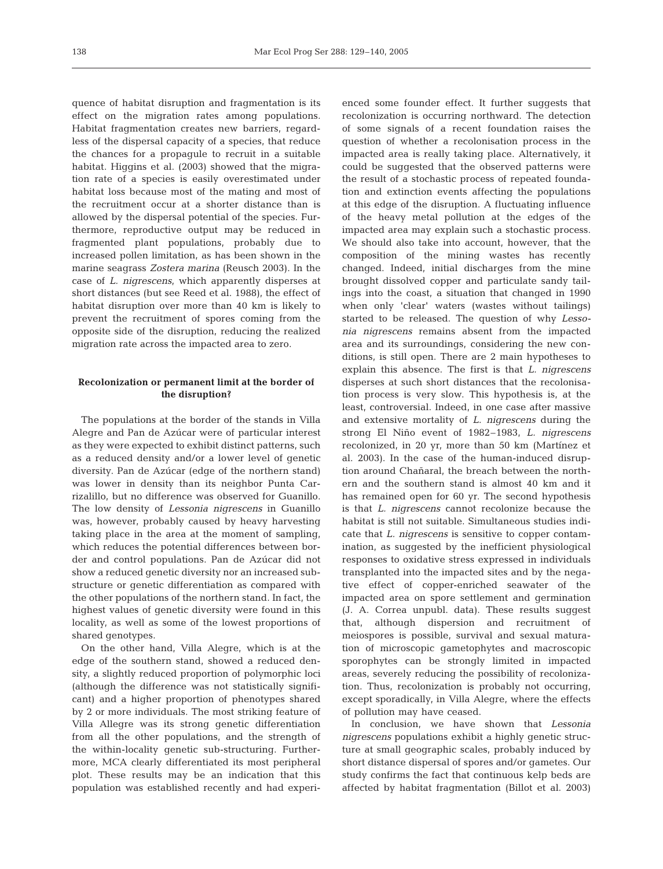quence of habitat disruption and fragmentation is its effect on the migration rates among populations. Habitat fragmentation creates new barriers, regardless of the dispersal capacity of a species, that reduce the chances for a propagule to recruit in a suitable habitat. Higgins et al. (2003) showed that the migration rate of a species is easily overestimated under habitat loss because most of the mating and most of the recruitment occur at a shorter distance than is allowed by the dispersal potential of the species. Furthermore, reproductive output may be reduced in fragmented plant populations, probably due to increased pollen limitation, as has been shown in the marine seagrass *Zostera marina* (Reusch 2003). In the case of *L. nigrescens*, which apparently disperses at short distances (but see Reed et al. 1988), the effect of habitat disruption over more than 40 km is likely to prevent the recruitment of spores coming from the opposite side of the disruption, reducing the realized migration rate across the impacted area to zero.

# **Recolonization or permanent limit at the border of the disruption?**

The populations at the border of the stands in Villa Alegre and Pan de Azúcar were of particular interest as they were expected to exhibit distinct patterns, such as a reduced density and/or a lower level of genetic diversity. Pan de Azúcar (edge of the northern stand) was lower in density than its neighbor Punta Carrizalillo, but no difference was observed for Guanillo. The low density of *Lessonia nigrescens* in Guanillo was, however, probably caused by heavy harvesting taking place in the area at the moment of sampling, which reduces the potential differences between border and control populations. Pan de Azúcar did not show a reduced genetic diversity nor an increased substructure or genetic differentiation as compared with the other populations of the northern stand. In fact, the highest values of genetic diversity were found in this locality, as well as some of the lowest proportions of shared genotypes.

On the other hand, Villa Alegre, which is at the edge of the southern stand, showed a reduced density, a slightly reduced proportion of polymorphic loci (although the difference was not statistically significant) and a higher proportion of phenotypes shared by 2 or more individuals. The most striking feature of Villa Allegre was its strong genetic differentiation from all the other populations, and the strength of the within-locality genetic sub-structuring. Furthermore, MCA clearly differentiated its most peripheral plot. These results may be an indication that this population was established recently and had experienced some founder effect. It further suggests that recolonization is occurring northward. The detection of some signals of a recent foundation raises the question of whether a recolonisation process in the impacted area is really taking place. Alternatively, it could be suggested that the observed patterns were the result of a stochastic process of repeated foundation and extinction events affecting the populations at this edge of the disruption. A fluctuating influence of the heavy metal pollution at the edges of the impacted area may explain such a stochastic process. We should also take into account, however, that the composition of the mining wastes has recently changed. Indeed, initial discharges from the mine brought dissolved copper and particulate sandy tailings into the coast, a situation that changed in 1990 when only 'clear' waters (wastes without tailings) started to be released. The question of why *Lessonia nigrescens* remains absent from the impacted area and its surroundings, considering the new conditions, is still open. There are 2 main hypotheses to explain this absence. The first is that *L. nigrescens* disperses at such short distances that the recolonisation process is very slow. This hypothesis is, at the least, controversial. Indeed, in one case after massive and extensive mortality of *L. nigrescens* during the strong El Niño event of 1982–1983, *L. nigrescens* recolonized, in 20 yr, more than 50 km (Martínez et al. 2003). In the case of the human-induced disruption around Chañaral, the breach between the northern and the southern stand is almost 40 km and it has remained open for 60 yr. The second hypothesis is that *L. nigrescens* cannot recolonize because the habitat is still not suitable. Simultaneous studies indicate that *L. nigrescens* is sensitive to copper contamination, as suggested by the inefficient physiological responses to oxidative stress expressed in individuals transplanted into the impacted sites and by the negative effect of copper-enriched seawater of the impacted area on spore settlement and germination (J. A. Correa unpubl. data). These results suggest that, although dispersion and recruitment of meiospores is possible, survival and sexual maturation of microscopic gametophytes and macroscopic sporophytes can be strongly limited in impacted areas, severely reducing the possibility of recolonization. Thus, recolonization is probably not occurring, except sporadically, in Villa Alegre, where the effects of pollution may have ceased.

In conclusion, we have shown that *Lessonia nigrescens* populations exhibit a highly genetic structure at small geographic scales, probably induced by short distance dispersal of spores and/or gametes. Our study confirms the fact that continuous kelp beds are affected by habitat fragmentation (Billot et al. 2003)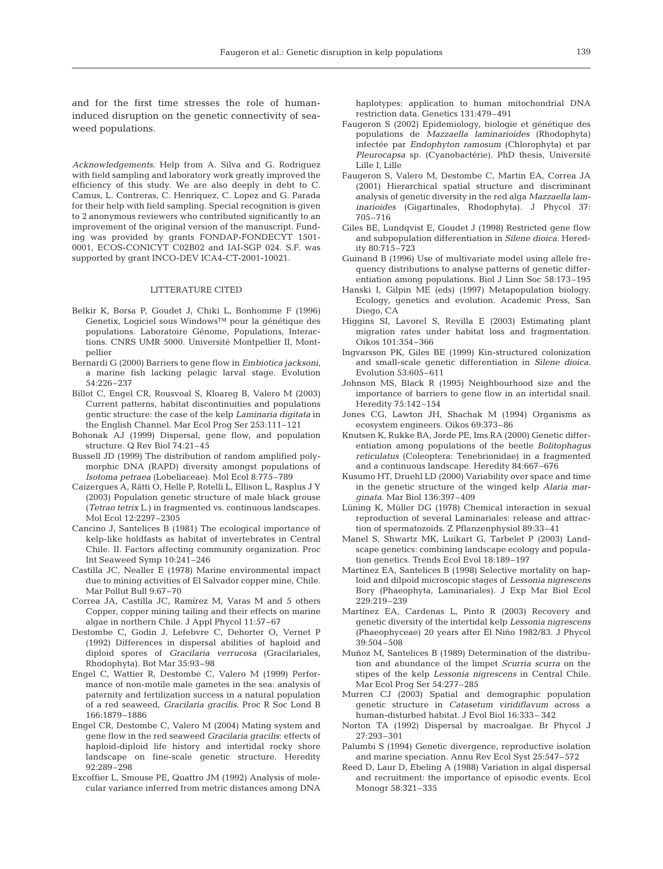and for the first time stresses the role of humaninduced disruption on the genetic connectivity of seaweed populations.

*Acknowledgements*. Help from A. Silva and G. Rodriguez with field sampling and laboratory work greatly improved the efficiency of this study. We are also deeply in debt to C. Camus, L. Contreras, C. Henriquez, C. Lopez and G. Parada for their help with field sampling. Special recognition is given to 2 anonymous reviewers who contributed significantly to an improvement of the original version of the manuscript. Funding was provided by grants FONDAP-FONDECYT 1501- 0001, ECOS-CONICYT C02B02 and IAI-SGP 024. S.F. was supported by grant INCO-DEV ICA4-CT-2001-10021.

#### LITTERATURE CITED

- Belkir K, Borsa P, Goudet J, Chiki L, Bonhomme F (1996) Genetix, Logiciel sous Windows™ pour la génétique des populations. Laboratoire Génome, Populations, Interactions. CNRS UMR 5000. Université Montpellier II, Montpellier
- Bernardi G (2000) Barriers to gene flow in *Embiotica jacksoni*, a marine fish lacking pelagic larval stage. Evolution 54:226–237
- Billot C, Engel CR, Rousvoal S, Kloareg B, Valero M (2003) Current patterns, habitat discontinuities and populations gentic structure: the case of the kelp *Laminaria digitata* in the English Channel. Mar Ecol Prog Ser 253:111–121
- Bohonak AJ (1999) Dispersal, gene flow, and population structure. Q Rev Biol 74:21–45
- Bussell JD (1999) The distribution of random amplified polymorphic DNA (RAPD) diversity amongst populations of *Isotoma petraea* (Lobeliaceae). Mol Ecol 8:775–789
- Caizergues A, Rätti O, Helle P, Rotelli L, Ellison L, Rasplus J Y (2003) Population genetic structure of male black grouse (*Tetrao tetrix* L.) in fragmented vs. continuous landscapes. Mol Ecol 12:2297–2305
- Cancino J, Santelices B (1981) The ecological importance of kelp-like holdfasts as habitat of invertebrates in Central Chile. II. Factors affecting community organization. Proc Int Seaweed Symp 10:241–246
- Castilla JC, Nealler E (1978) Marine environmental impact due to mining activities of El Salvador copper mine, Chile. Mar Pollut Bull 9:67–70
- Correa JA, Castilla JC, Ramírez M, Varas M and 5 others Copper, copper mining tailing and their effects on marine algae in northern Chile. J Appl Phycol 11:57–67
- Destombe C, Godin J, Lefebvre C, Dehorter O, Vernet P (1992) Differences in dispersal abilities of haploid and diploid spores of *Gracilaria verrucosa* (Gracilariales, Rhodophyta). Bot Mar 35:93–98
- Engel C, Wattier R, Destombe C, Valero M (1999) Performance of non-motile male gametes in the sea: analysis of paternity and fertilization success in a natural population of a red seaweed, *Gracilaria gracilis*. Proc R Soc Lond B 166:1879–1886
- Engel CR, Destombe C, Valero M (2004) Mating system and gene flow in the red seaweed *Gracilaria gracilis*: effects of haploid-diploid life history and intertidal rocky shore landscape on fine-scale genetic structure. Heredity 92:289–298
- Excoffier L, Smouse PE, Quattro JM (1992) Analysis of molecular variance inferred from metric distances among DNA

haplotypes: application to human mitochondrial DNA restriction data. Genetics 131:479–491

- Faugeron S (2002) Epidemiology, biologie et génétique des populations de *Mazzaella laminarioides* (Rhodophyta) infectée par *Endophyton ramosum* (Chlorophyta) et par *Pleurocapsa* sp. (Cyanobactérie). PhD thesis, Université Lille I, Lille
- Faugeron S, Valero M, Destombe C, Martin EA, Correa JA (2001) Hierarchical spatial structure and discriminant analysis of genetic diversity in the red alga *Mazzaella laminarioides* (Gigartinales, Rhodophyta). J Phycol 37: 705–716
- Giles BE, Lundqvist E, Goudet J (1998) Restricted gene flow and subpopulation differentiation in *Silene dioica*. Heredity 80:715–723
- Guinand B (1996) Use of multivariate model using allele frequency distributions to analyse patterns of genetic differentiation among populations. Biol J Linn Soc 58:173–195
- Hanski I, Gilpin ME (eds) (1997) Metapopulation biology. Ecology, genetics and evolution. Academic Press, San Diego, CA
- Higgins SI, Lavorel S, Revilla E (2003) Estimating plant migration rates under habitat loss and fragmentation. Oikos 101:354–366
- Ingvarsson PK, Giles BE (1999) Kin-structured colonization and small-scale genetic differentiation in *Silene dioica*. Evolution 53:605–611
- Johnson MS, Black R (1995) Neighbourhood size and the importance of barriers to gene flow in an intertidal snail. Heredity 75:142–154
- Jones CG, Lawton JH, Shachak M (1994) Organisms as ecosystem engineers. Oikos 69:373–86
- Knutsen K, Rukke BA, Jorde PE, Ims RA (2000) Genetic differentiation among populations of the beetle *Bolitophagus reticulatus* (Coleoptera: Tenebrionidae) in a fragmented and a continuous landscape. Heredity 84:667–676
- Kusumo HT, Druehl LD (2000) Variability over space and time in the genetic structure of the winged kelp *Alaria marginata*. Mar Biol 136:397–409
- Lüning K, Müller DG (1978) Chemical interaction in sexual reproduction of several Laminariales: release and attraction of spermatozoids. Z Pflanzenphysiol 89:33–41
- Manel S, Shwartz MK, Luikart G, Tarbelet P (2003) Landscape genetics: combining landscape ecology and population genetics. Trends Ecol Evol 18:189–197
- Martínez EA, Santelices B (1998) Selective mortality on haploid and dilpoid microscopic stages of *Lessonia nigrescens* Bory (Phaeophyta, Laminariales). J Exp Mar Biol Ecol 229:219–239
- Martínez EA, Cardenas L, Pinto R (2003) Recovery and genetic diversity of the intertidal kelp *Lessonia nigrescens* (Phaeophyceae) 20 years after El Niño 1982/83. J Phycol 39:504–508
- Muñoz M, Santelices B (1989) Determination of the distribution and abundance of the limpet *Scurria scurra* on the stipes of the kelp *Lessonia nigrescens* in Central Chile. Mar Ecol Prog Ser 54:277–285
- Murren CJ (2003) Spatial and demographic population genetic structure in *Catasetum viridiflavum* across a human-disturbed habitat. J Evol Biol 16:333– 342
- Norton TA (1992) Dispersal by macroalgae. Br Phycol J 27:293–301
- Palumbi S (1994) Genetic divergence, reproductive isolation and marine speciation. Annu Rev Ecol Syst 25:547–572
- Reed D, Laur D, Ebeling A (1988) Variation in algal dispersal and recruitment: the importance of episodic events. Ecol Monogr 58:321–335